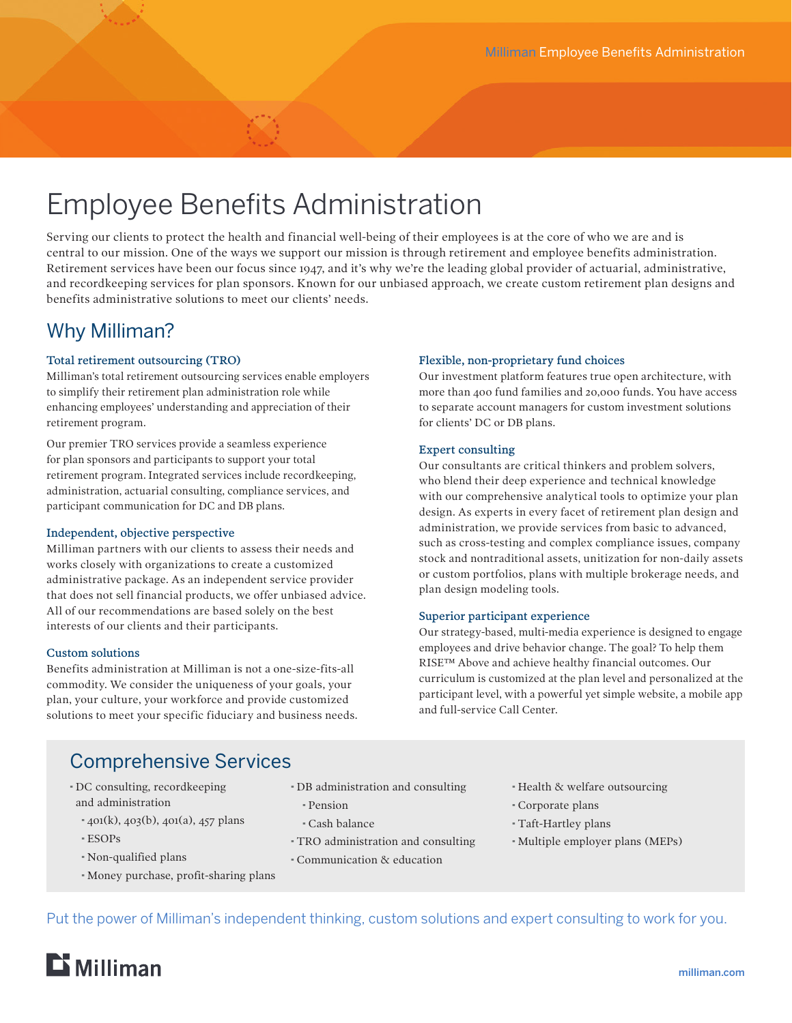# Employee Benefits Administration

Serving our clients to protect the health and financial well-being of their employees is at the core of who we are and is central to our mission. One of the ways we support our mission is through retirement and employee benefits administration. Retirement services have been our focus since 1947, and it's why we're the leading global provider of actuarial, administrative, and recordkeeping services for plan sponsors. Known for our unbiased approach, we create custom retirement plan designs and benefits administrative solutions to meet our clients' needs.

# Why Milliman?

### Total retirement outsourcing (TRO)

Milliman's total retirement outsourcing services enable employers to simplify their retirement plan administration role while enhancing employees' understanding and appreciation of their retirement program.

Our premier TRO services provide a seamless experience for plan sponsors and participants to support your total retirement program. Integrated services include recordkeeping, administration, actuarial consulting, compliance services, and participant communication for DC and DB plans.

#### Independent, objective perspective

Milliman partners with our clients to assess their needs and works closely with organizations to create a customized administrative package. As an independent service provider that does not sell financial products, we offer unbiased advice. All of our recommendations are based solely on the best interests of our clients and their participants.

#### Custom solutions

Benefits administration at Milliman is not a one-size-fits-all commodity. We consider the uniqueness of your goals, your plan, your culture, your workforce and provide customized solutions to meet your specific fiduciary and business needs.

## Flexible, non-proprietary fund choices

Our investment platform features true open architecture, with more than 400 fund families and 20,000 funds. You have access to separate account managers for custom investment solutions for clients' DC or DB plans.

### Expert consulting

Our consultants are critical thinkers and problem solvers, who blend their deep experience and technical knowledge with our comprehensive analytical tools to optimize your plan design. As experts in every facet of retirement plan design and administration, we provide services from basic to advanced, such as cross-testing and complex compliance issues, company stock and nontraditional assets, unitization for non-daily assets or custom portfolios, plans with multiple brokerage needs, and plan design modeling tools.

#### Superior participant experience

Our strategy-based, multi-media experience is designed to engage employees and drive behavior change. The goal? To help them RISE™ Above and achieve healthy financial outcomes. Our curriculum is customized at the plan level and personalized at the participant level, with a powerful yet simple website, a mobile app and full-service Call Center.

# Comprehensive Services

- · DC consulting, recordkeeping and administration
	- $*$  401(k), 403(b), 401(a), 457 plans
	- · ESOPs
	- · Non-qualified plans
	- · Money purchase, profit-sharing plans
- · DB administration and consulting
	- · Pension
	- · Cash balance
- · TRO administration and consulting
- · Communication & education
- · Health & welfare outsourcing
- · Corporate plans
- · Taft-Hartley plans
- · Multiple employer plans (MEPs)

Put the power of Milliman's independent thinking, custom solutions and expert consulting to work for you.